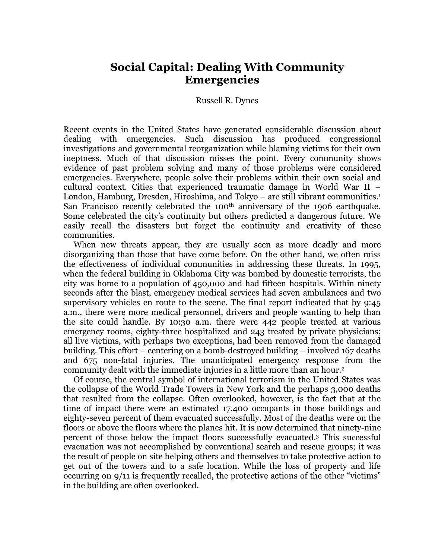# **Social Capital: Dealing With Community Emergencies**

#### Russell R. Dynes

Recent events in the United States have generated considerable discussion about dealing with emergencies. Such discussion has produced congressional investigations and governmental reorganization while blaming victims for their own ineptness. Much of that discussion misses the point. Every community shows evidence of past problem solving and many of those problems were considered emergencies. Everywhere, people solve their problems within their own social and cultural context. Cities that experienced traumatic damage in World War II – London, Hamburg, Dresden, Hiroshima, and Tokyo – are still vibrant communities. 1 San Francisco recently celebrated the 100<sup>th</sup> anniversary of the 1906 earthquake. Some celebrated the city's continuity but others predicted a dangerous future. We easily recall the disasters but forget the continuity and creativity of these communities.

When new threats appear, they are usually seen as more deadly and more disorganizing than those that have come before. On the other hand, we often miss the effectiveness of individual communities in addressing these threats. In 1995, when the federal building in Oklahoma City was bombed by domestic terrorists, the city was home to a population of 450,000 and had fifteen hospitals. Within ninety seconds after the blast, emergency medical services had seven ambulances and two supervisory vehicles en route to the scene. The final report indicated that by 9:45 a.m., there were more medical personnel, drivers and people wanting to help than the site could handle. By 10:30 a.m. there were 442 people treated at various emergency rooms, eighty-three hospitalized and 243 treated by private physicians; all live victims, with perhaps two exceptions, had been removed from the damaged building. This effort – centering on a bomb-destroyed building – involved 167 deaths and 675 non-fatal injuries. The unanticipated emergency response from the community dealt with the immediate injuries in a little more than an hour.2

Of course, the central symbol of international terrorism in the United States was the collapse of the World Trade Towers in New York and the perhaps 3,000 deaths that resulted from the collapse. Often overlooked, however, is the fact that at the time of impact there were an estimated 17,400 occupants in those buildings and eighty-seven percent of them evacuated successfully. Most of the deaths were on the floors or above the floors where the planes hit. It is now determined that ninety-nine percent of those below the impact floors successfully evacuated. <sup>3</sup> This successful evacuation was not accomplished by conventional search and rescue groups; it was the result of people on site helping others and themselves to take protective action to get out of the towers and to a safe location. While the loss of property and life occurring on 9/11 is frequently recalled, the protective actions of the other "victims" in the building are often overlooked.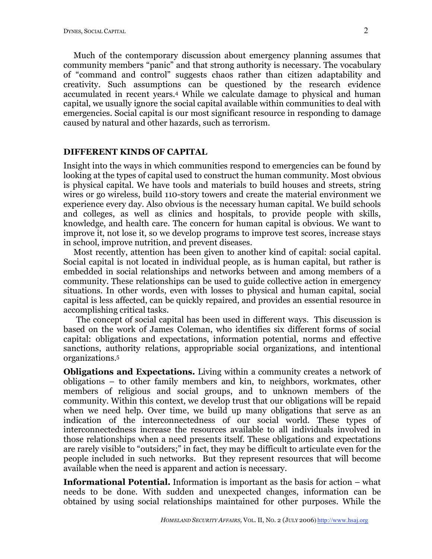Much of the contemporary discussion about emergency planning assumes that community members "panic" and that strong authority is necessary. The vocabulary of "command and control" suggests chaos rather than citizen adaptability and creativity. Such assumptions can be questioned by the research evidence accumulated in recent years. <sup>4</sup> While we calculate damage to physical and human capital, we usually ignore the social capital available within communities to deal with emergencies. Social capital is our most significant resource in responding to damage caused by natural and other hazards, such as terrorism.

### **DIFFERENT KINDS OF CAPITAL**

Insight into the ways in which communities respond to emergencies can be found by looking at the types of capital used to construct the human community. Most obvious is physical capital. We have tools and materials to build houses and streets, string wires or go wireless, build 110-story towers and create the material environment we experience every day. Also obvious is the necessary human capital. We build schools and colleges, as well as clinics and hospitals, to provide people with skills, knowledge, and health care. The concern for human capital is obvious. We want to improve it, not lose it, so we develop programs to improve test scores, increase stays in school, improve nutrition, and prevent diseases.

Most recently, attention has been given to another kind of capital: social capital. Social capital is not located in individual people, as is human capital, but rather is embedded in social relationships and networks between and among members of a community. These relationships can be used to guide collective action in emergency situations. In other words, even with losses to physical and human capital, social capital is less affected, can be quickly repaired, and provides an essential resource in accomplishing critical tasks.

The concept of social capital has been used in different ways. This discussion is based on the work of James Coleman, who identifies six different forms of social capital: obligations and expectations, information potential, norms and effective sanctions, authority relations, appropriable social organizations, and intentional organizations. 5

**Obligations and Expectations.** Living within a community creates a network of obligations – to other family members and kin, to neighbors, workmates, other members of religious and social groups, and to unknown members of the community. Within this context, we develop trust that our obligations will be repaid when we need help. Over time, we build up many obligations that serve as an indication of the interconnectedness of our social world. These types of interconnectedness increase the resources available to all individuals involved in those relationships when a need presents itself. These obligations and expectations are rarely visible to "outsiders;" in fact, they may be difficult to articulate even for the people included in such networks. But they represent resources that will become available when the need is apparent and action is necessary.

**Informational Potential.** Information is important as the basis for action – what needs to be done. With sudden and unexpected changes, information can be obtained by using social relationships maintained for other purposes. While the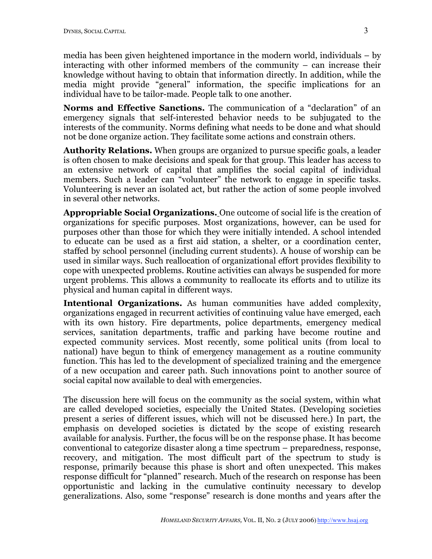media has been given heightened importance in the modern world, individuals – by interacting with other informed members of the community – can increase their knowledge without having to obtain that information directly. In addition, while the media might provide "general" information, the specific implications for an individual have to be tailor-made. People talk to one another.

**Norms and Effective Sanctions.** The communication of a "declaration" of an emergency signals that self-interested behavior needs to be subjugated to the interests of the community. Norms defining what needs to be done and what should not be done organize action. They facilitate some actions and constrain others.

**Authority Relations.** When groups are organized to pursue specific goals, a leader is often chosen to make decisions and speak for that group. This leader has access to an extensive network of capital that amplifies the social capital of individual members. Such a leader can "volunteer" the network to engage in specific tasks. Volunteering is never an isolated act, but rather the action of some people involved in several other networks.

**Appropriable Social Organizations.** One outcome of social life is the creation of organizations for specific purposes. Most organizations, however, can be used for purposes other than those for which they were initially intended. A school intended to educate can be used as a first aid station, a shelter, or a coordination center, staffed by school personnel (including current students). A house of worship can be used in similar ways. Such reallocation of organizational effort provides flexibility to cope with unexpected problems. Routine activities can always be suspended for more urgent problems. This allows a community to reallocate its efforts and to utilize its physical and human capital in different ways.

**Intentional Organizations.** As human communities have added complexity, organizations engaged in recurrent activities of continuing value have emerged, each with its own history. Fire departments, police departments, emergency medical services, sanitation departments, traffic and parking have become routine and expected community services. Most recently, some political units (from local to national) have begun to think of emergency management as a routine community function. This has led to the development of specialized training and the emergence of a new occupation and career path. Such innovations point to another source of social capital now available to deal with emergencies.

The discussion here will focus on the community as the social system, within what are called developed societies, especially the United States. (Developing societies present a series of different issues, which will not be discussed here.) In part, the emphasis on developed societies is dictated by the scope of existing research available for analysis. Further, the focus will be on the response phase. It has become conventional to categorize disaster along a time spectrum – preparedness, response, recovery, and mitigation. The most difficult part of the spectrum to study is response, primarily because this phase is short and often unexpected. This makes response difficult for "planned" research. Much of the research on response has been opportunistic and lacking in the cumulative continuity necessary to develop generalizations. Also, some "response" research is done months and years after the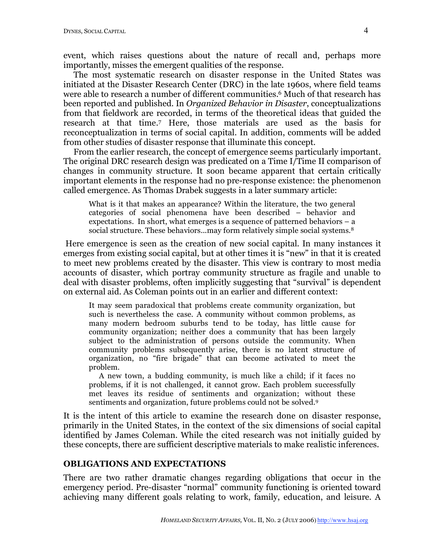event, which raises questions about the nature of recall and, perhaps more importantly, misses the emergent qualities of the response.

The most systematic research on disaster response in the United States was initiated at the Disaster Research Center (DRC) in the late 1960s, where field teams were able to research a number of different communities. <sup>6</sup> Much of that research has been reported and published. In *Organized Behavior in Disaster*, conceptualizations from that fieldwork are recorded, in terms of the theoretical ideas that guided the research at that time.7 Here, those materials are used as the basis for reconceptualization in terms of social capital. In addition, comments will be added from other studies of disaster response that illuminate this concept.

From the earlier research, the concept of emergence seems particularly important. The original DRC research design was predicated on a Time I/Time II comparison of changes in community structure. It soon became apparent that certain critically important elements in the response had no pre-response existence: the phenomenon called emergence. As Thomas Drabek suggests in a later summary article:

What is it that makes an appearance? Within the literature, the two general categories of social phenomena have been described – behavior and expectations. In short, what emerges is a sequence of patterned behaviors  $-$  a social structure. These behaviors...may form relatively simple social systems.<sup>8</sup>

Here emergence is seen as the creation of new social capital. In many instances it emerges from existing social capital, but at other times it is "new" in that it is created to meet new problems created by the disaster. This view is contrary to most media accounts of disaster, which portray community structure as fragile and unable to deal with disaster problems, often implicitly suggesting that "survival" is dependent on external aid. As Coleman points out in an earlier and different context:

It may seem paradoxical that problems create community organization, but such is nevertheless the case. A community without common problems, as many modern bedroom suburbs tend to be today, has little cause for community organization; neither does a community that has been largely subject to the administration of persons outside the community. When community problems subsequently arise, there is no latent structure of organization, no "fire brigade" that can become activated to meet the problem.

A new town, a budding community, is much like a child; if it faces no problems, if it is not challenged, it cannot grow. Each problem successfully met leaves its residue of sentiments and organization; without these sentiments and organization, future problems could not be solved.9

It is the intent of this article to examine the research done on disaster response, primarily in the United States, in the context of the six dimensions of social capital identified by James Coleman. While the cited research was not initially guided by these concepts, there are sufficient descriptive materials to make realistic inferences.

## **OBLIGATIONS AND EXPECTATIONS**

There are two rather dramatic changes regarding obligations that occur in the emergency period. Pre-disaster "normal" community functioning is oriented toward achieving many different goals relating to work, family, education, and leisure. A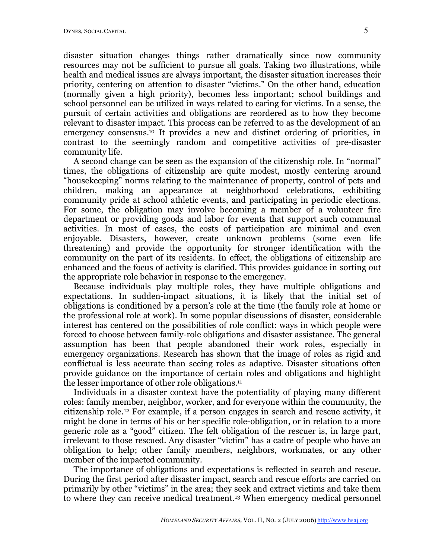disaster situation changes things rather dramatically since now community resources may not be sufficient to pursue all goals. Taking two illustrations, while health and medical issues are always important, the disaster situation increases their priority, centering on attention to disaster "victims." On the other hand, education (normally given a high priority), becomes less important; school buildings and school personnel can be utilized in ways related to caring for victims. In a sense, the pursuit of certain activities and obligations are reordered as to how they become relevant to disaster impact. This process can be referred to as the development of an emergency consensus. <sup>10</sup> It provides a new and distinct ordering of priorities, in contrast to the seemingly random and competitive activities of pre-disaster community life.

A second change can be seen as the expansion of the citizenship role. In "normal" times, the obligations of citizenship are quite modest, mostly centering around "housekeeping" norms relating to the maintenance of property, control of pets and children, making an appearance at neighborhood celebrations, exhibiting community pride at school athletic events, and participating in periodic elections. For some, the obligation may involve becoming a member of a volunteer fire department or providing goods and labor for events that support such communal activities. In most of cases, the costs of participation are minimal and even enjoyable. Disasters, however, create unknown problems (some even life threatening) and provide the opportunity for stronger identification with the community on the part of its residents. In effect, the obligations of citizenship are enhanced and the focus of activity is clarified. This provides guidance in sorting out the appropriate role behavior in response to the emergency.

Because individuals play multiple roles, they have multiple obligations and expectations. In sudden-impact situations, it is likely that the initial set of obligations is conditioned by a person's role at the time (the family role at home or the professional role at work). In some popular discussions of disaster, considerable interest has centered on the possibilities of role conflict: ways in which people were forced to choose between family-role obligations and disaster assistance. The general assumption has been that people abandoned their work roles, especially in emergency organizations. Research has shown that the image of roles as rigid and conflictual is less accurate than seeing roles as adaptive. Disaster situations often provide guidance on the importance of certain roles and obligations and highlight the lesser importance of other role obligations. 11

Individuals in a disaster context have the potentiality of playing many different roles: family member, neighbor, worker, and for everyone within the community, the citizenship role.12 For example, if a person engages in search and rescue activity, it might be done in terms of his or her specific role-obligation, or in relation to a more generic role as a "good" citizen. The felt obligation of the rescuer is, in large part, irrelevant to those rescued. Any disaster "victim" has a cadre of people who have an obligation to help; other family members, neighbors, workmates, or any other member of the impacted community.

The importance of obligations and expectations is reflected in search and rescue. During the first period after disaster impact, search and rescue efforts are carried on primarily by other "victims" in the area; they seek and extract victims and take them to where they can receive medical treatment.13 When emergency medical personnel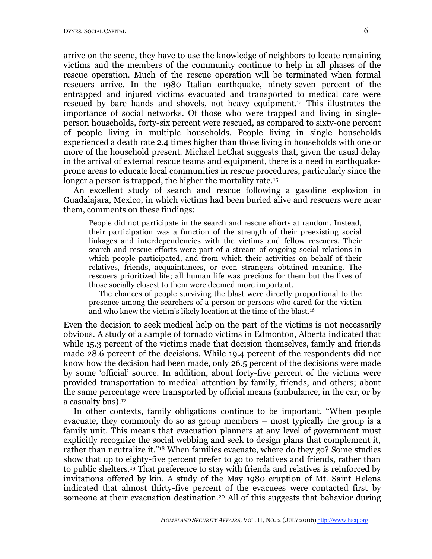arrive on the scene, they have to use the knowledge of neighbors to locate remaining victims and the members of the community continue to help in all phases of the rescue operation. Much of the rescue operation will be terminated when formal rescuers arrive. In the 1980 Italian earthquake, ninety-seven percent of the entrapped and injured victims evacuated and transported to medical care were rescued by bare hands and shovels, not heavy equipment. <sup>14</sup> This illustrates the importance of social networks. Of those who were trapped and living in singleperson households, forty-six percent were rescued, as compared to sixty-one percent of people living in multiple households. People living in single households experienced a death rate 2.4 times higher than those living in households with one or more of the household present. Michael LeChat suggests that, given the usual delay in the arrival of external rescue teams and equipment, there is a need in earthquakeprone areas to educate local communities in rescue procedures, particularly since the longer a person is trapped, the higher the mortality rate.<sup>15</sup>

An excellent study of search and rescue following a gasoline explosion in Guadalajara, Mexico, in which victims had been buried alive and rescuers were near them, comments on these findings:

People did not participate in the search and rescue efforts at random. Instead, their participation was a function of the strength of their preexisting social linkages and interdependencies with the victims and fellow rescuers. Their search and rescue efforts were part of a stream of ongoing social relations in which people participated, and from which their activities on behalf of their relatives, friends, acquaintances, or even strangers obtained meaning. The rescuers prioritized life; all human life was precious for them but the lives of those socially closest to them were deemed more important.

The chances of people surviving the blast were directly proportional to the presence among the searchers of a person or persons who cared for the victim and who knew the victim's likely location at the time of the blast.16

Even the decision to seek medical help on the part of the victims is not necessarily obvious. A study of a sample of tornado victims in Edmonton, Alberta indicated that while 15.3 percent of the victims made that decision themselves, family and friends made 28.6 percent of the decisions. While 19.4 percent of the respondents did not know how the decision had been made, only 26.5 percent of the decisions were made by some 'official' source. In addition, about forty-five percent of the victims were provided transportation to medical attention by family, friends, and others; about the same percentage were transported by official means (ambulance, in the car, or by a casualty bus). 17

In other contexts, family obligations continue to be important. "When people evacuate, they commonly do so as group members – most typically the group is a family unit. This means that evacuation planners at any level of government must explicitly recognize the social webbing and seek to design plans that complement it, rather than neutralize it."18 When families evacuate, where do they go? Some studies show that up to eighty-five percent prefer to go to relatives and friends, rather than to public shelters.19 That preference to stay with friends and relatives is reinforced by invitations offered by kin. A study of the May 1980 eruption of Mt. Saint Helens indicated that almost thirty-five percent of the evacuees were contacted first by someone at their evacuation destination.20 All of this suggests that behavior during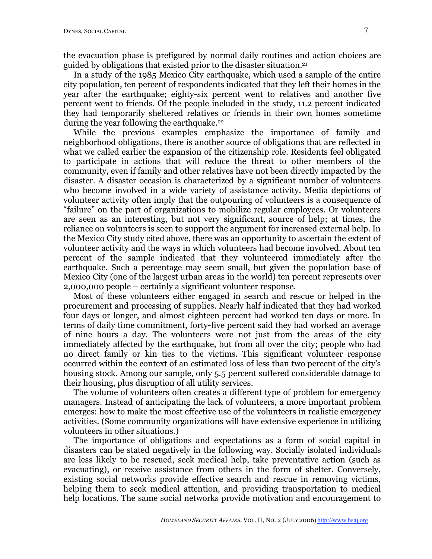the evacuation phase is prefigured by normal daily routines and action choices are guided by obligations that existed prior to the disaster situation. 21

In a study of the 1985 Mexico City earthquake, which used a sample of the entire city population, ten percent of respondents indicated that they left their homes in the year after the earthquake; eighty-six percent went to relatives and another five percent went to friends. Of the people included in the study, 11.2 percent indicated they had temporarily sheltered relatives or friends in their own homes sometime during the year following the earthquake.<sup>22</sup>

While the previous examples emphasize the importance of family and neighborhood obligations, there is another source of obligations that are reflected in what we called earlier the expansion of the citizenship role. Residents feel obligated to participate in actions that will reduce the threat to other members of the community, even if family and other relatives have not been directly impacted by the disaster. A disaster occasion is characterized by a significant number of volunteers who become involved in a wide variety of assistance activity. Media depictions of volunteer activity often imply that the outpouring of volunteers is a consequence of "failure" on the part of organizations to mobilize regular employees. Or volunteers are seen as an interesting, but not very significant, source of help; at times, the reliance on volunteers is seen to support the argument for increased external help. In the Mexico City study cited above, there was an opportunity to ascertain the extent of volunteer activity and the ways in which volunteers had become involved. About ten percent of the sample indicated that they volunteered immediately after the earthquake. Such a percentage may seem small, but given the population base of Mexico City (one of the largest urban areas in the world) ten percent represents over 2,000,000 people – certainly a significant volunteer response.

Most of these volunteers either engaged in search and rescue or helped in the procurement and processing of supplies. Nearly half indicated that they had worked four days or longer, and almost eighteen percent had worked ten days or more. In terms of daily time commitment, forty-five percent said they had worked an average of nine hours a day. The volunteers were not just from the areas of the city immediately affected by the earthquake, but from all over the city; people who had no direct family or kin ties to the victims. This significant volunteer response occurred within the context of an estimated loss of less than two percent of the city's housing stock. Among our sample, only 5.5 percent suffered considerable damage to their housing, plus disruption of all utility services.

The volume of volunteers often creates a different type of problem for emergency managers. Instead of anticipating the lack of volunteers, a more important problem emerges: how to make the most effective use of the volunteers in realistic emergency activities. (Some community organizations will have extensive experience in utilizing volunteers in other situations.)

The importance of obligations and expectations as a form of social capital in disasters can be stated negatively in the following way. Socially isolated individuals are less likely to be rescued, seek medical help, take preventative action (such as evacuating), or receive assistance from others in the form of shelter. Conversely, existing social networks provide effective search and rescue in removing victims, helping them to seek medical attention, and providing transportation to medical help locations. The same social networks provide motivation and encouragement to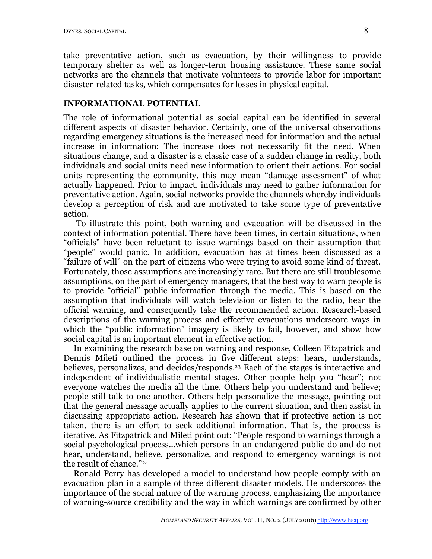take preventative action, such as evacuation, by their willingness to provide temporary shelter as well as longer-term housing assistance. These same social networks are the channels that motivate volunteers to provide labor for important disaster-related tasks, which compensates for losses in physical capital.

# **INFORMATIONAL POTENTIAL**

The role of informational potential as social capital can be identified in several different aspects of disaster behavior. Certainly, one of the universal observations regarding emergency situations is the increased need for information and the actual increase in information: The increase does not necessarily fit the need. When situations change, and a disaster is a classic case of a sudden change in reality, both individuals and social units need new information to orient their actions. For social units representing the community, this may mean "damage assessment" of what actually happened. Prior to impact, individuals may need to gather information for preventative action. Again, social networks provide the channels whereby individuals develop a perception of risk and are motivated to take some type of preventative action.

To illustrate this point, both warning and evacuation will be discussed in the context of information potential. There have been times, in certain situations, when "officials" have been reluctant to issue warnings based on their assumption that "people" would panic. In addition, evacuation has at times been discussed as a "failure of will" on the part of citizens who were trying to avoid some kind of threat. Fortunately, those assumptions are increasingly rare. But there are still troublesome assumptions, on the part of emergency managers, that the best way to warn people is to provide "official" public information through the media. This is based on the assumption that individuals will watch television or listen to the radio, hear the official warning, and consequently take the recommended action. Research-based descriptions of the warning process and effective evacuations underscore ways in which the "public information" imagery is likely to fail, however, and show how social capital is an important element in effective action.

In examining the research base on warning and response, Colleen Fitzpatrick and Dennis Mileti outlined the process in five different steps: hears, understands, believes, personalizes, and decides/responds. <sup>23</sup> Each of the stages is interactive and independent of individualistic mental stages. Other people help you "hear"; not everyone watches the media all the time. Others help you understand and believe; people still talk to one another. Others help personalize the message, pointing out that the general message actually applies to the current situation, and then assist in discussing appropriate action. Research has shown that if protective action is not taken, there is an effort to seek additional information. That is, the process is iterative. As Fitzpatrick and Mileti point out: "People respond to warnings through a social psychological process...which persons in an endangered public do and do not hear, understand, believe, personalize, and respond to emergency warnings is not the result of chance."24

Ronald Perry has developed a model to understand how people comply with an evacuation plan in a sample of three different disaster models. He underscores the importance of the social nature of the warning process, emphasizing the importance of warning-source credibility and the way in which warnings are confirmed by other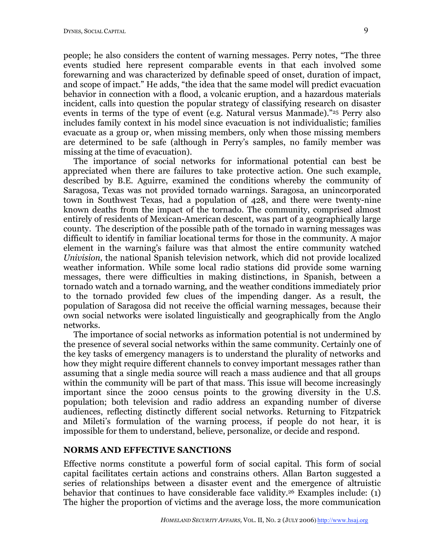people; he also considers the content of warning messages. Perry notes, "The three events studied here represent comparable events in that each involved some forewarning and was characterized by definable speed of onset, duration of impact, and scope of impact." He adds, "the idea that the same model will predict evacuation behavior in connection with a flood, a volcanic eruption, and a hazardous materials incident, calls into question the popular strategy of classifying research on disaster events in terms of the type of event (e.g. Natural versus Manmade)."25 Perry also includes family context in his model since evacuation is not individualistic; families evacuate as a group or, when missing members, only when those missing members are determined to be safe (although in Perry's samples, no family member was missing at the time of evacuation).

The importance of social networks for informational potential can best be appreciated when there are failures to take protective action. One such example, described by B.E. Aguirre, examined the conditions whereby the community of Saragosa, Texas was not provided tornado warnings. Saragosa, an unincorporated town in Southwest Texas, had a population of 428, and there were twenty-nine known deaths from the impact of the tornado. The community, comprised almost entirely of residents of Mexican-American descent, was part of a geographically large county. The description of the possible path of the tornado in warning messages was difficult to identify in familiar locational terms for those in the community. A major element in the warning's failure was that almost the entire community watched *Univision*, the national Spanish television network, which did not provide localized weather information. While some local radio stations did provide some warning messages, there were difficulties in making distinctions, in Spanish, between a tornado watch and a tornado warning, and the weather conditions immediately prior to the tornado provided few clues of the impending danger. As a result, the population of Saragosa did not receive the official warning messages, because their own social networks were isolated linguistically and geographically from the Anglo networks.

The importance of social networks as information potential is not undermined by the presence of several social networks within the same community. Certainly one of the key tasks of emergency managers is to understand the plurality of networks and how they might require different channels to convey important messages rather than assuming that a single media source will reach a mass audience and that all groups within the community will be part of that mass. This issue will become increasingly important since the 2000 census points to the growing diversity in the U.S. population; both television and radio address an expanding number of diverse audiences, reflecting distinctly different social networks. Returning to Fitzpatrick and Mileti's formulation of the warning process, if people do not hear, it is impossible for them to understand, believe, personalize, or decide and respond.

### **NORMS AND EFFECTIVE SANCTIONS**

Effective norms constitute a powerful form of social capital. This form of social capital facilitates certain actions and constrains others. Allan Barton suggested a series of relationships between a disaster event and the emergence of altruistic behavior that continues to have considerable face validity.26 Examples include: (1) The higher the proportion of victims and the average loss, the more communication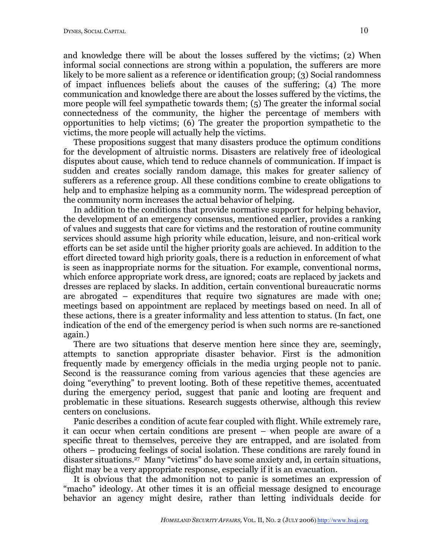and knowledge there will be about the losses suffered by the victims; (2) When informal social connections are strong within a population, the sufferers are more likely to be more salient as a reference or identification group; (3) Social randomness of impact influences beliefs about the causes of the suffering; (4) The more communication and knowledge there are about the losses suffered by the victims, the more people will feel sympathetic towards them; (5) The greater the informal social connectedness of the community, the higher the percentage of members with opportunities to help victims; (6) The greater the proportion sympathetic to the victims, the more people will actually help the victims.

These propositions suggest that many disasters produce the optimum conditions for the development of altruistic norms. Disasters are relatively free of ideological disputes about cause, which tend to reduce channels of communication. If impact is sudden and creates socially random damage, this makes for greater saliency of sufferers as a reference group. All these conditions combine to create obligations to help and to emphasize helping as a community norm. The widespread perception of the community norm increases the actual behavior of helping.

In addition to the conditions that provide normative support for helping behavior, the development of an emergency consensus, mentioned earlier, provides a ranking of values and suggests that care for victims and the restoration of routine community services should assume high priority while education, leisure, and non-critical work efforts can be set aside until the higher priority goals are achieved. In addition to the effort directed toward high priority goals, there is a reduction in enforcement of what is seen as inappropriate norms for the situation. For example, conventional norms, which enforce appropriate work dress, are ignored; coats are replaced by jackets and dresses are replaced by slacks. In addition, certain conventional bureaucratic norms are abrogated – expenditures that require two signatures are made with one; meetings based on appointment are replaced by meetings based on need. In all of these actions, there is a greater informality and less attention to status. (In fact, one indication of the end of the emergency period is when such norms are re-sanctioned again.)

There are two situations that deserve mention here since they are, seemingly, attempts to sanction appropriate disaster behavior. First is the admonition frequently made by emergency officials in the media urging people not to panic. Second is the reassurance coming from various agencies that these agencies are doing "everything" to prevent looting. Both of these repetitive themes, accentuated during the emergency period, suggest that panic and looting are frequent and problematic in these situations. Research suggests otherwise, although this review centers on conclusions.

Panic describes a condition of acute fear coupled with flight. While extremely rare, it can occur when certain conditions are present – when people are aware of a specific threat to themselves, perceive they are entrapped, and are isolated from others – producing feelings of social isolation. These conditions are rarely found in disaster situations.27 Many "victims" do have some anxiety and, in certain situations, flight may be a very appropriate response, especially if it is an evacuation.

It is obvious that the admonition not to panic is sometimes an expression of "macho" ideology. At other times it is an official message designed to encourage behavior an agency might desire, rather than letting individuals decide for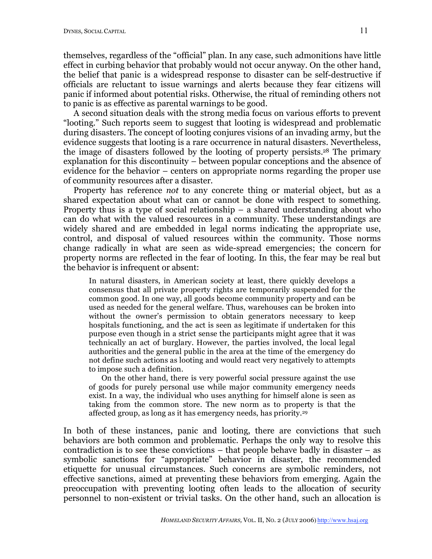themselves, regardless of the "official" plan. In any case, such admonitions have little effect in curbing behavior that probably would not occur anyway. On the other hand, the belief that panic is a widespread response to disaster can be self-destructive if officials are reluctant to issue warnings and alerts because they fear citizens will panic if informed about potential risks. Otherwise, the ritual of reminding others not to panic is as effective as parental warnings to be good.

A second situation deals with the strong media focus on various efforts to prevent "looting." Such reports seem to suggest that looting is widespread and problematic during disasters. The concept of looting conjures visions of an invading army, but the evidence suggests that looting is a rare occurrence in natural disasters. Nevertheless, the image of disasters followed by the looting of property persists. <sup>28</sup> The primary explanation for this discontinuity – between popular conceptions and the absence of evidence for the behavior – centers on appropriate norms regarding the proper use of community resources after a disaster.

Property has reference *not* to any concrete thing or material object, but as a shared expectation about what can or cannot be done with respect to something. Property thus is a type of social relationship – a shared understanding about who can do what with the valued resources in a community. These understandings are widely shared and are embedded in legal norms indicating the appropriate use, control, and disposal of valued resources within the community. Those norms change radically in what are seen as wide-spread emergencies; the concern for property norms are reflected in the fear of looting. In this, the fear may be real but the behavior is infrequent or absent:

In natural disasters, in American society at least, there quickly develops a consensus that all private property rights are temporarily suspended for the common good. In one way, all goods become community property and can be used as needed for the general welfare. Thus, warehouses can be broken into without the owner's permission to obtain generators necessary to keep hospitals functioning, and the act is seen as legitimate if undertaken for this purpose even though in a strict sense the participants might agree that it was technically an act of burglary. However, the parties involved, the local legal authorities and the general public in the area at the time of the emergency do not define such actions as looting and would react very negatively to attempts to impose such a definition.

On the other hand, there is very powerful social pressure against the use of goods for purely personal use while major community emergency needs exist. In a way, the individual who uses anything for himself alone is seen as taking from the common store. The new norm as to property is that the affected group, as long as it has emergency needs, has priority. 29

In both of these instances, panic and looting, there are convictions that such behaviors are both common and problematic. Perhaps the only way to resolve this contradiction is to see these convictions – that people behave badly in disaster – as symbolic sanctions for "appropriate" behavior in disaster, the recommended etiquette for unusual circumstances. Such concerns are symbolic reminders, not effective sanctions, aimed at preventing these behaviors from emerging. Again the preoccupation with preventing looting often leads to the allocation of security personnel to non-existent or trivial tasks. On the other hand, such an allocation is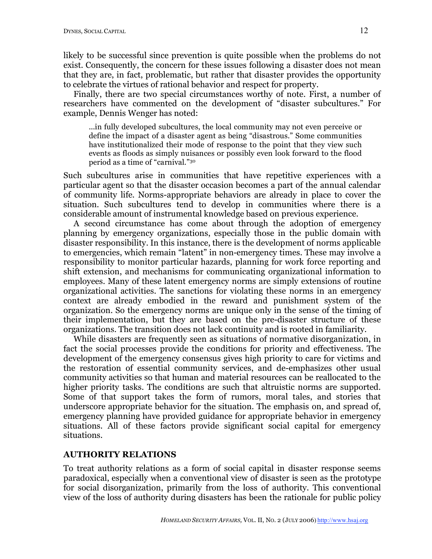likely to be successful since prevention is quite possible when the problems do not exist. Consequently, the concern for these issues following a disaster does not mean that they are, in fact, problematic, but rather that disaster provides the opportunity to celebrate the virtues of rational behavior and respect for property.

Finally, there are two special circumstances worthy of note. First, a number of researchers have commented on the development of "disaster subcultures." For example, Dennis Wenger has noted:

...in fully developed subcultures, the local community may not even perceive or define the impact of a disaster agent as being "disastrous." Some communities have institutionalized their mode of response to the point that they view such events as floods as simply nuisances or possibly even look forward to the flood period as a time of "carnival."30

Such subcultures arise in communities that have repetitive experiences with a particular agent so that the disaster occasion becomes a part of the annual calendar of community life. Norms-appropriate behaviors are already in place to cover the situation. Such subcultures tend to develop in communities where there is a considerable amount of instrumental knowledge based on previous experience.

A second circumstance has come about through the adoption of emergency planning by emergency organizations, especially those in the public domain with disaster responsibility. In this instance, there is the development of norms applicable to emergencies, which remain "latent" in non-emergency times. These may involve a responsibility to monitor particular hazards, planning for work force reporting and shift extension, and mechanisms for communicating organizational information to employees. Many of these latent emergency norms are simply extensions of routine organizational activities. The sanctions for violating these norms in an emergency context are already embodied in the reward and punishment system of the organization. So the emergency norms are unique only in the sense of the timing of their implementation, but they are based on the pre-disaster structure of these organizations. The transition does not lack continuity and is rooted in familiarity.

While disasters are frequently seen as situations of normative disorganization, in fact the social processes provide the conditions for priority and effectiveness. The development of the emergency consensus gives high priority to care for victims and the restoration of essential community services, and de-emphasizes other usual community activities so that human and material resources can be reallocated to the higher priority tasks. The conditions are such that altruistic norms are supported. Some of that support takes the form of rumors, moral tales, and stories that underscore appropriate behavior for the situation. The emphasis on, and spread of, emergency planning have provided guidance for appropriate behavior in emergency situations. All of these factors provide significant social capital for emergency situations.

## **AUTHORITY RELATIONS**

To treat authority relations as a form of social capital in disaster response seems paradoxical, especially when a conventional view of disaster is seen as the prototype for social disorganization, primarily from the loss of authority. This conventional view of the loss of authority during disasters has been the rationale for public policy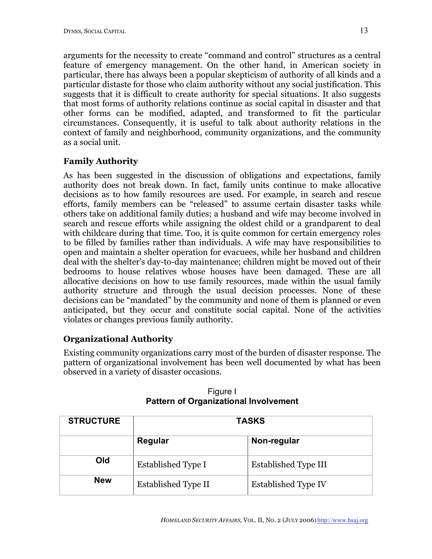arguments for the necessity to create "command and control" structures as a central feature of emergency management. On the other hand, in American society in particular, there has always been a popular skepticism of authority of all kinds and a particular distaste for those who claim authority without any social justification. This suggests that it is difficult to create authority for special situations. It also suggests that most forms of authority relations continue as social capital in disaster and that other forms can be modified, adapted, and transformed to fit the particular circumstances. Consequently, it is useful to talk about authority relations in the context of family and neighborhood, community organizations, and the community as a social unit.

# **Family Authority**

As has been suggested in the discussion of obligations and expectations, family authority does not break down. In fact, family units continue to make allocative decisions as to how family resources are used. For example, in search and rescue efforts, family members can be "released" to assume certain disaster tasks while others take on additional family duties; a husband and wife may become involved in search and rescue efforts while assigning the oldest child or a grandparent to deal with childcare during that time. Too, it is quite common for certain emergency roles to be filled by families rather than individuals. A wife may have responsibilities to open and maintain a shelter operation for evacuees, while her husband and children deal with the shelter's day-to-day maintenance; children might be moved out of their bedrooms to house relatives whose houses have been damaged. These are all allocative decisions on how to use family resources, made within the usual family authority structure and through the usual decision processes. None of these decisions can be "mandated" by the community and none of them is planned or even anticipated, but they occur and constitute social capital. None of the activities violates or changes previous family authority.

# **Organizational Authority**

Existing community organizations carry most of the burden of disaster response. The pattern of organizational involvement has been well documented by what has been observed in a variety of disaster occasions.

| <b>STRUCTURE</b> | <b>TASKS</b>        |                      |
|------------------|---------------------|----------------------|
|                  | Regular             | Non-regular          |
| Old              | Established Type I  | Established Type III |
| <b>New</b>       | Established Type II | Established Type IV  |

Figure I **Pattern of Organizational Involvement**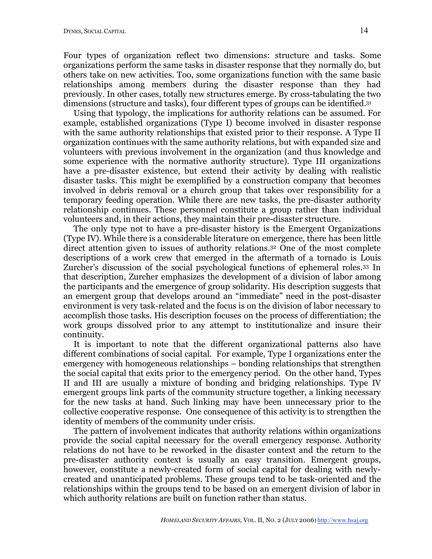Four types of organization reflect two dimensions: structure and tasks. Some organizations perform the same tasks in disaster response that they normally do, but others take on new activities. Too, some organizations function with the same basic relationships among members during the disaster response than they had previously. In other cases, totally new structures emerge. By cross-tabulating the two dimensions (structure and tasks), four different types of groups can be identified.<sup>31</sup>

Using that typology, the implications for authority relations can be assumed. For example, established organizations (Type I) become involved in disaster response with the same authority relationships that existed prior to their response. A Type II organization continues with the same authority relations, but with expanded size and volunteers with previous involvement in the organization (and thus knowledge and some experience with the normative authority structure). Type III organizations have a pre-disaster existence, but extend their activity by dealing with realistic disaster tasks. This might be exemplified by a construction company that becomes involved in debris removal or a church group that takes over responsibility for a temporary feeding operation. While there are new tasks, the pre-disaster authority relationship continues. These personnel constitute a group rather than individual volunteers and, in their actions, they maintain their pre-disaster structure.

The only type not to have a pre-disaster history is the Emergent Organizations (Type IV). While there is a considerable literature on emergence, there has been little direct attention given to issues of authority relations.32 One of the most complete descriptions of a work crew that emerged in the aftermath of a tornado is Louis Zurcher's discussion of the social psychological functions of ephemeral roles.33 In that description, Zurcher emphasizes the development of a division of labor among the participants and the emergence of group solidarity. His description suggests that an emergent group that develops around an "immediate" need in the post-disaster environment is very task-related and the focus is on the division of labor necessary to accomplish those tasks. His description focuses on the process of differentiation; the work groups dissolved prior to any attempt to institutionalize and insure their continuity.

It is important to note that the different organizational patterns also have different combinations of social capital. For example, Type I organizations enter the emergency with homogeneous relationships – bonding relationships that strengthen the social capital that exits prior to the emergency period. On the other hand, Types II and III are usually a mixture of bonding and bridging relationships. Type IV emergent groups link parts of the community structure together, a linking necessary for the new tasks at hand. Such linking may have been unnecessary prior to the collective cooperative response. One consequence of this activity is to strengthen the identity of members of the community under crisis.

The pattern of involvement indicates that authority relations within organizations provide the social capital necessary for the overall emergency response. Authority relations do not have to be reworked in the disaster context and the return to the pre-disaster authority context is usually an easy transition. Emergent groups, however, constitute a newly-created form of social capital for dealing with newlycreated and unanticipated problems. These groups tend to be task-oriented and the relationships within the groups tend to be based on an emergent division of labor in which authority relations are built on function rather than status.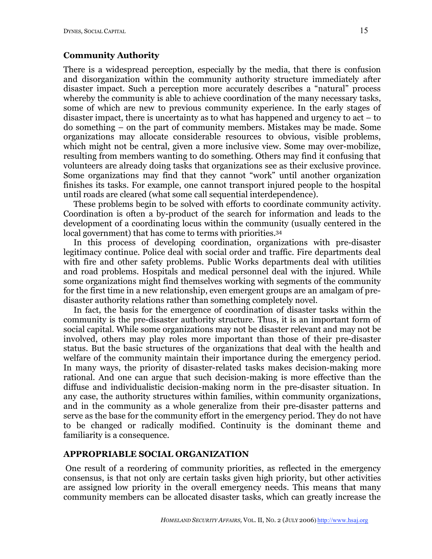# **Community Authority**

There is a widespread perception, especially by the media, that there is confusion and disorganization within the community authority structure immediately after disaster impact. Such a perception more accurately describes a "natural" process whereby the community is able to achieve coordination of the many necessary tasks, some of which are new to previous community experience. In the early stages of disaster impact, there is uncertainty as to what has happened and urgency to act – to do something – on the part of community members. Mistakes may be made. Some organizations may allocate considerable resources to obvious, visible problems, which might not be central, given a more inclusive view. Some may over-mobilize, resulting from members wanting to do something. Others may find it confusing that volunteers are already doing tasks that organizations see as their exclusive province. Some organizations may find that they cannot "work" until another organization finishes its tasks. For example, one cannot transport injured people to the hospital until roads are cleared (what some call sequential interdependence).

These problems begin to be solved with efforts to coordinate community activity. Coordination is often a by-product of the search for information and leads to the development of a coordinating locus within the community (usually centered in the local government) that has come to terms with priorities. 34

In this process of developing coordination, organizations with pre-disaster legitimacy continue. Police deal with social order and traffic. Fire departments deal with fire and other safety problems. Public Works departments deal with utilities and road problems. Hospitals and medical personnel deal with the injured. While some organizations might find themselves working with segments of the community for the first time in a new relationship, even emergent groups are an amalgam of predisaster authority relations rather than something completely novel.

In fact, the basis for the emergence of coordination of disaster tasks within the community is the pre-disaster authority structure. Thus, it is an important form of social capital. While some organizations may not be disaster relevant and may not be involved, others may play roles more important than those of their pre-disaster status. But the basic structures of the organizations that deal with the health and welfare of the community maintain their importance during the emergency period. In many ways, the priority of disaster-related tasks makes decision-making more rational. And one can argue that such decision-making is more effective than the diffuse and individualistic decision-making norm in the pre-disaster situation. In any case, the authority structures within families, within community organizations, and in the community as a whole generalize from their pre-disaster patterns and serve as the base for the community effort in the emergency period. They do not have to be changed or radically modified. Continuity is the dominant theme and familiarity is a consequence.

## **APPROPRIABLE SOCIAL ORGANIZATION**

One result of a reordering of community priorities, as reflected in the emergency consensus, is that not only are certain tasks given high priority, but other activities are assigned low priority in the overall emergency needs. This means that many community members can be allocated disaster tasks, which can greatly increase the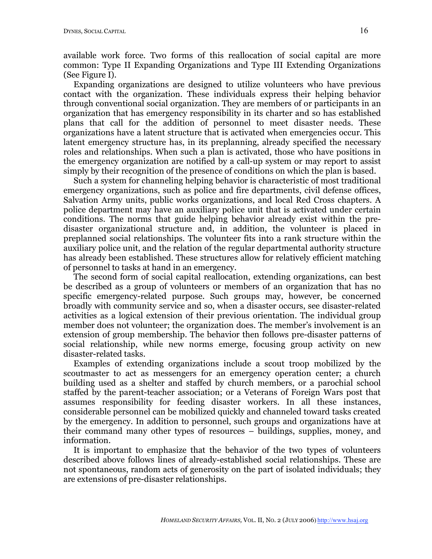available work force. Two forms of this reallocation of social capital are more common: Type II Expanding Organizations and Type III Extending Organizations (See Figure I).

Expanding organizations are designed to utilize volunteers who have previous contact with the organization. These individuals express their helping behavior through conventional social organization. They are members of or participants in an organization that has emergency responsibility in its charter and so has established plans that call for the addition of personnel to meet disaster needs. These organizations have a latent structure that is activated when emergencies occur. This latent emergency structure has, in its preplanning, already specified the necessary roles and relationships. When such a plan is activated, those who have positions in the emergency organization are notified by a call-up system or may report to assist simply by their recognition of the presence of conditions on which the plan is based.

Such a system for channeling helping behavior is characteristic of most traditional emergency organizations, such as police and fire departments, civil defense offices, Salvation Army units, public works organizations, and local Red Cross chapters. A police department may have an auxiliary police unit that is activated under certain conditions. The norms that guide helping behavior already exist within the predisaster organizational structure and, in addition, the volunteer is placed in preplanned social relationships. The volunteer fits into a rank structure within the auxiliary police unit, and the relation of the regular departmental authority structure has already been established. These structures allow for relatively efficient matching of personnel to tasks at hand in an emergency.

The second form of social capital reallocation, extending organizations, can best be described as a group of volunteers or members of an organization that has no specific emergency-related purpose. Such groups may, however, be concerned broadly with community service and so, when a disaster occurs, see disaster-related activities as a logical extension of their previous orientation. The individual group member does not volunteer; the organization does. The member's involvement is an extension of group membership. The behavior then follows pre-disaster patterns of social relationship, while new norms emerge, focusing group activity on new disaster-related tasks.

Examples of extending organizations include a scout troop mobilized by the scoutmaster to act as messengers for an emergency operation center; a church building used as a shelter and staffed by church members, or a parochial school staffed by the parent-teacher association; or a Veterans of Foreign Wars post that assumes responsibility for feeding disaster workers. In all these instances, considerable personnel can be mobilized quickly and channeled toward tasks created by the emergency. In addition to personnel, such groups and organizations have at their command many other types of resources – buildings, supplies, money, and information.

It is important to emphasize that the behavior of the two types of volunteers described above follows lines of already-established social relationships. These are not spontaneous, random acts of generosity on the part of isolated individuals; they are extensions of pre-disaster relationships.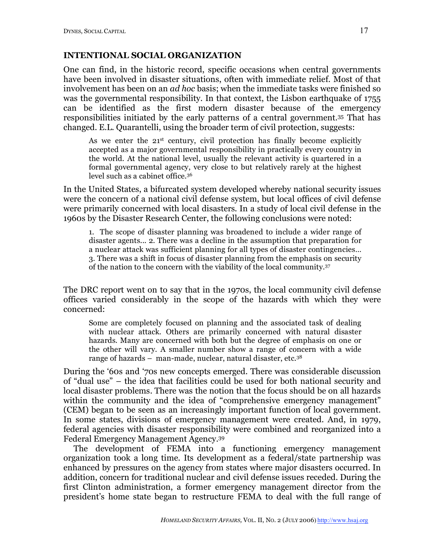### **INTENTIONAL SOCIAL ORGANIZATION**

One can find, in the historic record, specific occasions when central governments have been involved in disaster situations, often with immediate relief. Most of that involvement has been on an *ad hoc* basis; when the immediate tasks were finished so was the governmental responsibility. In that context, the Lisbon earthquake of 1755 can be identified as the first modern disaster because of the emergency responsibilities initiated by the early patterns of a central government.35 That has changed. E.L. Quarantelli, using the broader term of civil protection, suggests:

As we enter the  $21<sup>st</sup>$  century, civil protection has finally become explicitly accepted as a major governmental responsibility in practically every country in the world. At the national level, usually the relevant activity is quartered in a formal governmental agency, very close to but relatively rarely at the highest level such as a cabinet office. 36

In the United States, a bifurcated system developed whereby national security issues were the concern of a national civil defense system, but local offices of civil defense were primarily concerned with local disasters. In a study of local civil defense in the 1960s by the Disaster Research Center, the following conclusions were noted:

1. The scope of disaster planning was broadened to include a wider range of disaster agents... 2. There was a decline in the assumption that preparation for a nuclear attack was sufficient planning for all types of disaster contingencies… 3. There was a shift in focus of disaster planning from the emphasis on security of the nation to the concern with the viability of the local community.37

The DRC report went on to say that in the 1970s, the local community civil defense offices varied considerably in the scope of the hazards with which they were concerned:

Some are completely focused on planning and the associated task of dealing with nuclear attack. Others are primarily concerned with natural disaster hazards. Many are concerned with both but the degree of emphasis on one or the other will vary. A smaller number show a range of concern with a wide range of hazards – man-made, nuclear, natural disaster, etc.38

During the '60s and '70s new concepts emerged. There was considerable discussion of "dual use" – the idea that facilities could be used for both national security and local disaster problems. There was the notion that the focus should be on all hazards within the community and the idea of "comprehensive emergency management" (CEM) began to be seen as an increasingly important function of local government. In some states, divisions of emergency management were created. And, in 1979, federal agencies with disaster responsibility were combined and reorganized into a Federal Emergency Management Agency.39

The development of FEMA into a functioning emergency management organization took a long time. Its development as a federal/state partnership was enhanced by pressures on the agency from states where major disasters occurred. In addition, concern for traditional nuclear and civil defense issues receded. During the first Clinton administration, a former emergency management director from the president's home state began to restructure FEMA to deal with the full range of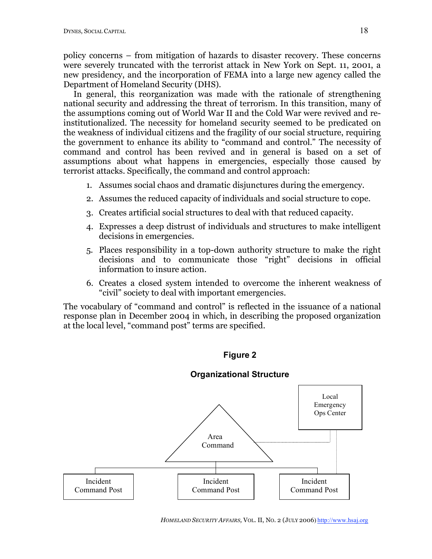policy concerns – from mitigation of hazards to disaster recovery. These concerns were severely truncated with the terrorist attack in New York on Sept. 11, 2001, a new presidency, and the incorporation of FEMA into a large new agency called the Department of Homeland Security (DHS).

In general, this reorganization was made with the rationale of strengthening national security and addressing the threat of terrorism. In this transition, many of the assumptions coming out of World War II and the Cold War were revived and reinstitutionalized. The necessity for homeland security seemed to be predicated on the weakness of individual citizens and the fragility of our social structure, requiring the government to enhance its ability to "command and control." The necessity of command and control has been revived and in general is based on a set of assumptions about what happens in emergencies, especially those caused by terrorist attacks. Specifically, the command and control approach:

- 1. Assumes social chaos and dramatic disjunctures during the emergency.
- 2. Assumes the reduced capacity of individuals and social structure to cope.
- 3. Creates artificial social structures to deal with that reduced capacity.
- 4. Expresses a deep distrust of individuals and structures to make intelligent decisions in emergencies.
- 5. Places responsibility in a top-down authority structure to make the right decisions and to communicate those "right" decisions in official information to insure action.
- 6. Creates a closed system intended to overcome the inherent weakness of "civil" society to deal with important emergencies.

The vocabulary of "command and control" is reflected in the issuance of a national response plan in December 2004 in which, in describing the proposed organization at the local level, "command post" terms are specified.



# Incident Local Emergency Ops Center Command Post Incident Command Post Incident Command Post Area Command

#### **Organizational Structure**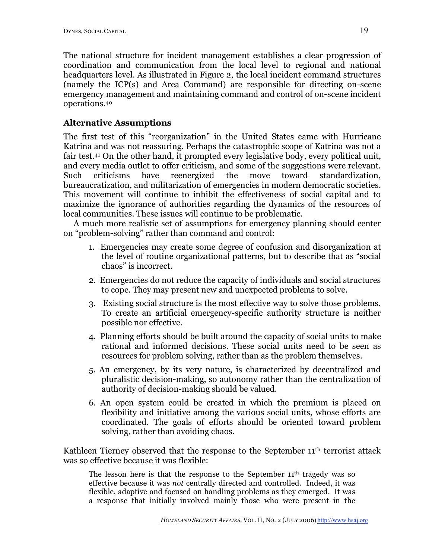The national structure for incident management establishes a clear progression of coordination and communication from the local level to regional and national headquarters level. As illustrated in Figure 2, the local incident command structures (namely the ICP(s) and Area Command) are responsible for directing on-scene emergency management and maintaining command and control of on-scene incident operations.40

# **Alternative Assumptions**

The first test of this "reorganization" in the United States came with Hurricane Katrina and was not reassuring. Perhaps the catastrophic scope of Katrina was not a fair test.41 On the other hand, it prompted every legislative body, every political unit, and every media outlet to offer criticism, and some of the suggestions were relevant. Such criticisms have reenergized the move toward standardization, bureaucratization, and militarization of emergencies in modern democratic societies. This movement will continue to inhibit the effectiveness of social capital and to maximize the ignorance of authorities regarding the dynamics of the resources of local communities. These issues will continue to be problematic.

A much more realistic set of assumptions for emergency planning should center on "problem-solving" rather than command and control:

- 1. Emergencies may create some degree of confusion and disorganization at the level of routine organizational patterns, but to describe that as "social chaos" is incorrect.
- 2. Emergencies do not reduce the capacity of individuals and social structures to cope. They may present new and unexpected problems to solve.
- 3. Existing social structure is the most effective way to solve those problems. To create an artificial emergency-specific authority structure is neither possible nor effective.
- 4. Planning efforts should be built around the capacity of social units to make rational and informed decisions. These social units need to be seen as resources for problem solving, rather than as the problem themselves.
- 5. An emergency, by its very nature, is characterized by decentralized and pluralistic decision-making, so autonomy rather than the centralization of authority of decision-making should be valued.
- 6. An open system could be created in which the premium is placed on flexibility and initiative among the various social units, whose efforts are coordinated. The goals of efforts should be oriented toward problem solving, rather than avoiding chaos.

Kathleen Tierney observed that the response to the September 11<sup>th</sup> terrorist attack was so effective because it was flexible:

The lesson here is that the response to the September  $11<sup>th</sup>$  tragedy was so effective because it was *not* centrally directed and controlled. Indeed, it was flexible, adaptive and focused on handling problems as they emerged. It was a response that initially involved mainly those who were present in the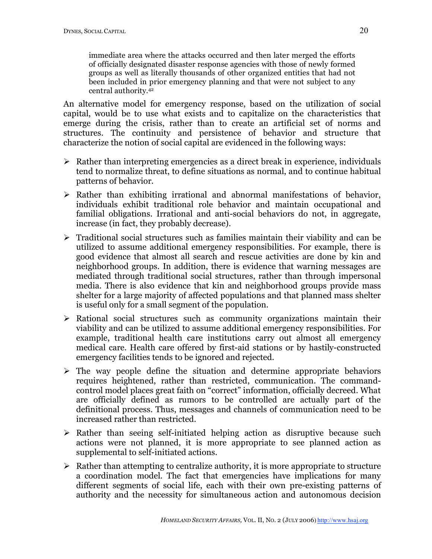immediate area where the attacks occurred and then later merged the efforts of officially designated disaster response agencies with those of newly formed groups as well as literally thousands of other organized entities that had not been included in prior emergency planning and that were not subject to any central authority.42

An alternative model for emergency response, based on the utilization of social capital, would be to use what exists and to capitalize on the characteristics that emerge during the crisis, rather than to create an artificial set of norms and structures. The continuity and persistence of behavior and structure that characterize the notion of social capital are evidenced in the following ways:

- $\triangleright$  Rather than interpreting emergencies as a direct break in experience, individuals tend to normalize threat, to define situations as normal, and to continue habitual patterns of behavior.
- $\triangleright$  Rather than exhibiting irrational and abnormal manifestations of behavior, individuals exhibit traditional role behavior and maintain occupational and familial obligations. Irrational and anti-social behaviors do not, in aggregate, increase (in fact, they probably decrease).
- $\triangleright$  Traditional social structures such as families maintain their viability and can be utilized to assume additional emergency responsibilities. For example, there is good evidence that almost all search and rescue activities are done by kin and neighborhood groups. In addition, there is evidence that warning messages are mediated through traditional social structures, rather than through impersonal media. There is also evidence that kin and neighborhood groups provide mass shelter for a large majority of affected populations and that planned mass shelter is useful only for a small segment of the population.
- $\triangleright$  Rational social structures such as community organizations maintain their viability and can be utilized to assume additional emergency responsibilities. For example, traditional health care institutions carry out almost all emergency medical care. Health care offered by first-aid stations or by hastily-constructed emergency facilities tends to be ignored and rejected.
- $\triangleright$  The way people define the situation and determine appropriate behaviors requires heightened, rather than restricted, communication. The commandcontrol model places great faith on "correct" information, officially decreed. What are officially defined as rumors to be controlled are actually part of the definitional process. Thus, messages and channels of communication need to be increased rather than restricted.
- $\triangleright$  Rather than seeing self-initiated helping action as disruptive because such actions were not planned, it is more appropriate to see planned action as supplemental to self-initiated actions.
- $\triangleright$  Rather than attempting to centralize authority, it is more appropriate to structure a coordination model. The fact that emergencies have implications for many different segments of social life, each with their own pre-existing patterns of authority and the necessity for simultaneous action and autonomous decision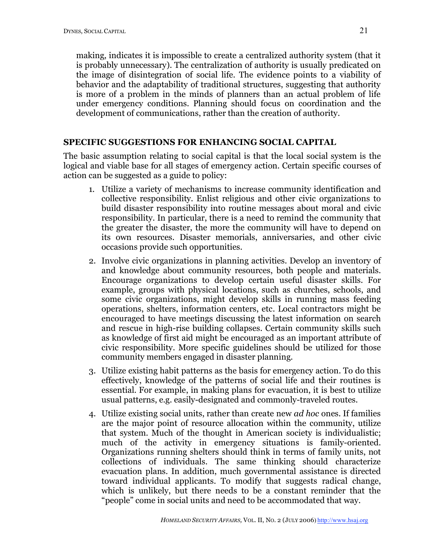making, indicates it is impossible to create a centralized authority system (that it is probably unnecessary). The centralization of authority is usually predicated on the image of disintegration of social life. The evidence points to a viability of behavior and the adaptability of traditional structures, suggesting that authority is more of a problem in the minds of planners than an actual problem of life under emergency conditions. Planning should focus on coordination and the development of communications, rather than the creation of authority.

## **SPECIFIC SUGGESTIONS FOR ENHANCING SOCIAL CAPITAL**

The basic assumption relating to social capital is that the local social system is the logical and viable base for all stages of emergency action. Certain specific courses of action can be suggested as a guide to policy:

- 1. Utilize a variety of mechanisms to increase community identification and collective responsibility. Enlist religious and other civic organizations to build disaster responsibility into routine messages about moral and civic responsibility. In particular, there is a need to remind the community that the greater the disaster, the more the community will have to depend on its own resources. Disaster memorials, anniversaries, and other civic occasions provide such opportunities.
- 2. Involve civic organizations in planning activities. Develop an inventory of and knowledge about community resources, both people and materials. Encourage organizations to develop certain useful disaster skills. For example, groups with physical locations, such as churches, schools, and some civic organizations, might develop skills in running mass feeding operations, shelters, information centers, etc. Local contractors might be encouraged to have meetings discussing the latest information on search and rescue in high-rise building collapses. Certain community skills such as knowledge of first aid might be encouraged as an important attribute of civic responsibility. More specific guidelines should be utilized for those community members engaged in disaster planning.
- 3. Utilize existing habit patterns as the basis for emergency action. To do this effectively, knowledge of the patterns of social life and their routines is essential. For example, in making plans for evacuation, it is best to utilize usual patterns, e.g. easily-designated and commonly-traveled routes.
- 4. Utilize existing social units, rather than create new *ad hoc* ones. If families are the major point of resource allocation within the community, utilize that system. Much of the thought in American society is individualistic; much of the activity in emergency situations is family-oriented. Organizations running shelters should think in terms of family units, not collections of individuals. The same thinking should characterize evacuation plans. In addition, much governmental assistance is directed toward individual applicants. To modify that suggests radical change, which is unlikely, but there needs to be a constant reminder that the "people" come in social units and need to be accommodated that way.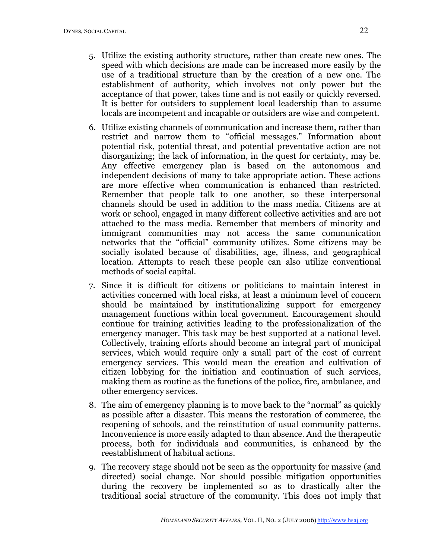- 5. Utilize the existing authority structure, rather than create new ones. The speed with which decisions are made can be increased more easily by the use of a traditional structure than by the creation of a new one. The establishment of authority, which involves not only power but the acceptance of that power, takes time and is not easily or quickly reversed. It is better for outsiders to supplement local leadership than to assume locals are incompetent and incapable or outsiders are wise and competent.
- 6. Utilize existing channels of communication and increase them, rather than restrict and narrow them to "official messages." Information about potential risk, potential threat, and potential preventative action are not disorganizing; the lack of information, in the quest for certainty, may be. Any effective emergency plan is based on the autonomous and independent decisions of many to take appropriate action. These actions are more effective when communication is enhanced than restricted. Remember that people talk to one another, so these interpersonal channels should be used in addition to the mass media. Citizens are at work or school, engaged in many different collective activities and are not attached to the mass media. Remember that members of minority and immigrant communities may not access the same communication networks that the "official" community utilizes. Some citizens may be socially isolated because of disabilities, age, illness, and geographical location. Attempts to reach these people can also utilize conventional methods of social capital.
- 7. Since it is difficult for citizens or politicians to maintain interest in activities concerned with local risks, at least a minimum level of concern should be maintained by institutionalizing support for emergency management functions within local government. Encouragement should continue for training activities leading to the professionalization of the emergency manager. This task may be best supported at a national level. Collectively, training efforts should become an integral part of municipal services, which would require only a small part of the cost of current emergency services. This would mean the creation and cultivation of citizen lobbying for the initiation and continuation of such services, making them as routine as the functions of the police, fire, ambulance, and other emergency services.
- 8. The aim of emergency planning is to move back to the "normal" as quickly as possible after a disaster. This means the restoration of commerce, the reopening of schools, and the reinstitution of usual community patterns. Inconvenience is more easily adapted to than absence. And the therapeutic process, both for individuals and communities, is enhanced by the reestablishment of habitual actions.
- 9. The recovery stage should not be seen as the opportunity for massive (and directed) social change. Nor should possible mitigation opportunities during the recovery be implemented so as to drastically alter the traditional social structure of the community. This does not imply that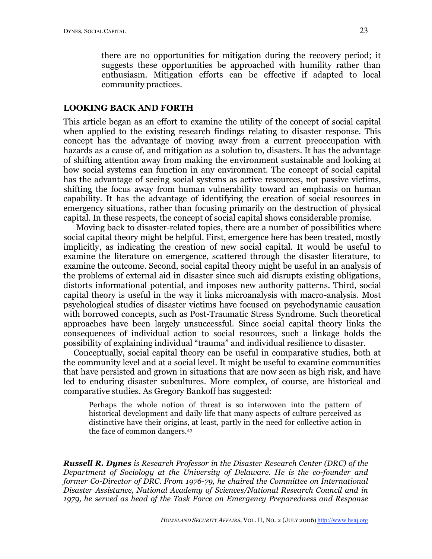#### **LOOKING BACK AND FORTH**

This article began as an effort to examine the utility of the concept of social capital when applied to the existing research findings relating to disaster response. This concept has the advantage of moving away from a current preoccupation with hazards as a cause of, and mitigation as a solution to, disasters. It has the advantage of shifting attention away from making the environment sustainable and looking at how social systems can function in any environment. The concept of social capital has the advantage of seeing social systems as active resources, not passive victims, shifting the focus away from human vulnerability toward an emphasis on human capability. It has the advantage of identifying the creation of social resources in emergency situations, rather than focusing primarily on the destruction of physical capital. In these respects, the concept of social capital shows considerable promise.

Moving back to disaster-related topics, there are a number of possibilities where social capital theory might be helpful. First, emergence here has been treated, mostly implicitly, as indicating the creation of new social capital. It would be useful to examine the literature on emergence, scattered through the disaster literature, to examine the outcome. Second, social capital theory might be useful in an analysis of the problems of external aid in disaster since such aid disrupts existing obligations, distorts informational potential, and imposes new authority patterns. Third, social capital theory is useful in the way it links microanalysis with macro-analysis. Most psychological studies of disaster victims have focused on psychodynamic causation with borrowed concepts, such as Post-Traumatic Stress Syndrome. Such theoretical approaches have been largely unsuccessful. Since social capital theory links the consequences of individual action to social resources, such a linkage holds the possibility of explaining individual "trauma" and individual resilience to disaster.

Conceptually, social capital theory can be useful in comparative studies, both at the community level and at a social level. It might be useful to examine communities that have persisted and grown in situations that are now seen as high risk, and have led to enduring disaster subcultures. More complex, of course, are historical and comparative studies. As Gregory Bankoff has suggested:

Perhaps the whole notion of threat is so interwoven into the pattern of historical development and daily life that many aspects of culture perceived as distinctive have their origins, at least, partly in the need for collective action in the face of common dangers. 43

*Russell R. Dynes is Research Professor in the Disaster Research Center (DRC) of the Department of Sociology at the University of Delaware. He is the co-founder and former Co-Director of DRC. From 1976-79, he chaired the Committee on International Disaster Assistance, National Academy of Sciences/National Research Council and in 1979, he served as head of the Task Force on Emergency Preparedness and Response*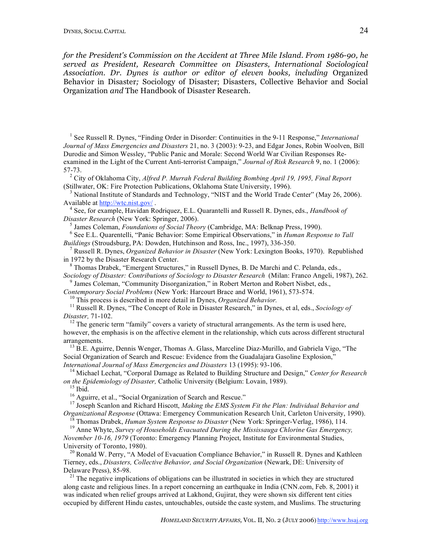*for the President's Commission on the Accident at Three Mile Island. From 1986-90, he served as President, Research Committee on Disasters, International Sociological Association. Dr. Dynes is author or editor of eleven books, including* Organized Behavior in Disaster*;* Sociology of Disaster; Disasters, Collective Behavior and Social Organization *and* The Handbook of Disaster Research*.*

<sup>1</sup> See Russell R. Dynes, "Finding Order in Disorder: Continuities in the 9-11 Response," *International Journal of Mass Emergencies and Disasters* 21, no. 3 (2003): 9-23, and Edgar Jones, Robin Woolven, Bill Durodie and Simon Wessley, "Public Panic and Morale: Second World War Civilian Responses Reexamined in the Light of the Current Anti-terrorist Campaign," *Journal of Risk Research* 9, no. 1 (2006):

57-73. <sup>2</sup> City of Oklahoma City, *Alfred P. Murrah Federal Building Bombing April 19, 1995, Final Report*

National Institute of Standards and Technology, "NIST and the World Trade Center" (May 26, 2006). Available at http://wtc.nist.gov/ . <sup>4</sup> See, for example, Havidan Rodriquez, E.L. Quarantelli and Russell R. Dynes, eds., *Handbook of*

Disaster Research (New York: Springer, 2006).<br><sup>5</sup> James Coleman, *Foundations of Social Theory* (Cambridge, MA: Belknap Press, 1990).<br><sup>6</sup> See E.L. Quarentelli, "Panic Behavior: Some Empirical Observations," in *Human Respo* 

*Buildings* (Stroudsburg, PA: Dowden, Hutchinson and Ross, Inc., 1997), 336-350. <sup>7</sup> Russell R. Dynes, *Organized Behavior in Disaster* (New York: Lexington Books, 1970). Republished

in 1972 by the Disaster Research Center.<br><sup>8</sup> Thomas Drabek, "Emergent Structures," in Russell Dynes, B. De Marchi and C. Pelanda, eds.,<br>*Sociology of Disaster: Contributions of Sociology to Disaster Research* (Milan: Franc

<sup>9</sup> James Coleman, "Community Disorganization," in Robert Merton and Robert Nisbet, eds., Contemporary Social Problems (New York: Harcourt Brace and World, 1961), 573-574.

<sup>10</sup> This process is described in more detail in Dynes, *Organized Behavior*.<br><sup>11</sup> Russell R. Dynes, "The Concept of Role in Disaster Research," in Dynes, et al. eds., *Sociology of* 

*Disaster,* 71-102.<br><sup>12</sup> The generic term "family" covers a variety of structural arrangements. As the term is used here,

however, the emphasis is on the affective element in the relationship, which cuts across different structural arrangements.<br><sup>13</sup> B.E. Aguirre, Dennis Wenger, Thomas A. Glass, Marceline Diaz-Murillo, and Gabriela Vigo, "The

Social Organization of Search and Rescue: Evidence from the Guadalajara Gasoline Explosion,"<br>International Journal of Mass Emergencies and Disasters 13 (1995): 93-106.

<sup>14</sup> Michael Lechat, "Corporal Damage as Related to Building Structure and Design," Center for Research

on the Epidemiology of Disaster, Catholic University (Belgium: Lovain, 1989).<br><sup>15</sup> Ibid.<br><sup>16</sup> Aguirre, et al., "Social Organization of Search and Rescue."<br><sup>17</sup> Joseph Scanlon and Richard Hiscott, *Making the EMS System Fit* 

<sup>18</sup> Thomas Drabek, *Human System Response to Disaster* (New York: Springer-Verlag, 1986), 114.<br><sup>19</sup> Anne Whyte, *Survey of Households Evacuated During the Mississauga Chlorine Gas Emergency*,

*November 10-16, 1979* (Toronto: Emergency Planning Project, Institute for Environmental Studies,

University of Toronto, 1980).<br><sup>20</sup> Ronald W. Perry, "A Model of Evacuation Compliance Behavior," in Russell R. Dynes and Kathleen Tierney, eds., *Disasters, Collective Behavior, and Social Organization* (Newark, DE: University of Delaware Press), 85-98.<br><sup>21</sup> The negative implications of obligations can be illustrated in societies in which they are structured

along caste and religious lines. In a report concerning an earthquake in India (CNN.com, Feb. 8, 2001) it was indicated when relief groups arrived at Lakhond, Gujirat, they were shown six different tent cities occupied by different Hindu castes, untouchables, outside the caste system, and Muslims. The structuring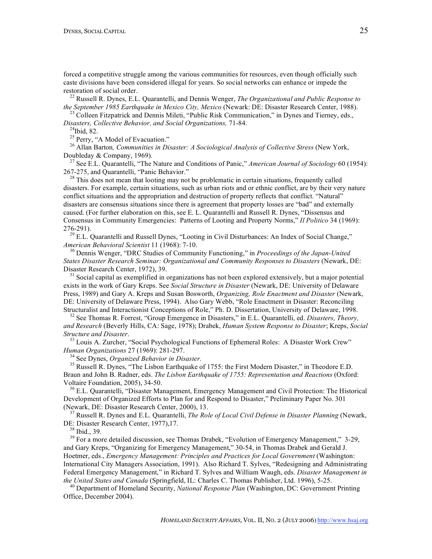forced a competitive struggle among the various communities for resources, even though officially such caste divisions have been considered illegal for years. So social networks can enhance or impede the

restoration of social order. <sup>22</sup> Russell R. Dynes, E.L. Quarantelli, and Dennis Wenger, *The Organizational and Public Response to*

<sup>23</sup> Colleen Fitzpatrick and Dennis Mileti, "Public Risk Communication," in Dynes and Tierney, eds., *Disasters, Collective Behavior, and Social Organizations,* 71-84. <sup>24</sup>

Ibid, 82. <sup>25</sup> Perry, "A Model of Evacuation." <sup>26</sup> Allan Barton*, Communities in Disaster: <sup>A</sup> Sociological Analysis of Collective Stress* (New York, Doubleday & Company, 1969)*.* <sup>27</sup> See E.L. Quarantelli, "The Nature and Conditions of Panic," *American Journal of Sociology* <sup>60</sup> (1954):

267-275, and Quarantelli, "Panic Behavior."<br><sup>28</sup> This does not mean that looting may not be problematic in certain situations, frequently called

disasters. For example, certain situations, such as urban riots and or ethnic conflict, are by their very nature conflict situations and the appropriation and destruction of property reflects that conflict. "Natural" disasters are consensus situations since there is agreement that property losses are "bad" and externally caused. (For further elaboration on this, see E. L. Quarantelli and Russell R. Dynes, "Dissensus and Consensus in Community Emergencies: Patterns of Looting and Property Norms," *Il Politico* 34 (1969):

276-291).<br><sup>29</sup> E.L. Quarantelli and Russell Dynes, "Looting in Civil Disturbances: An Index of Social Change,"<br>*American Behavioral Scientist* 11 (1968): 7-10.

<sup>30</sup> Dennis Wenger, "DRC Studies of Community Functioning," in *Proceedings of the Japan-United States Disaster Research Seminar: Organizational and Community Responses to Disasters* (Newark, DE: Disaster Research Center, 1972), 39.<br><sup>31</sup> Social capital as exemplified in organizations has not been explored extensively, but a major potential

exists in the work of Gary Kreps. See *Social Structure in Disaster* (Newark, DE: University of Delaware Press, 1989) and Gary A. Kreps and Susan Bosworth, *Organizing, Role Enactment and Disaster* (Newark, DE: University of Delaware Press, 1994). Also Gary Webb, "Role Enactment in Disaster: Reconciling Structuralist and Interactionist Conceptions of Role," Ph. D. Dissertation, University of Delaware, 1998.

<sup>32</sup> See Thomas R. Forrest, "Group Emergence in Disasters," in E.L. Quarantelli, ed. *Disasters, Theory, and Research* (Beverly Hills, CA: Sage, 1978); Drabek, *Human System Response to Disaster*; Kreps, *Social*

*Structure and Disaster.*<br><sup>33</sup> Louis A. Zurcher, "Social Psychological Functions of Ephemeral Roles: A Disaster Work Crew"<br>*Human Organizations* 27 (1969): 281-297.

<sup>34</sup> See Dynes, *Organized Behavior in Disaster*.<br><sup>35</sup> Russell R. Dynes, "The Lisbon Earthquake of 1755: the First Modern Disaster," in Theodore E.D. Braun and John B. Radner, eds. *The Lisbon Earthquake of 1755: Representation and Reactions* (Oxford: Voltaire Foundation, 2005), 34-50.<br><sup>36</sup> E.L. Quarantelli, "Disaster Management, Emergency Management and Civil Protection: The Historical

Development of Organized Efforts to Plan for and Respond to Disaster," Preliminary Paper No. 301 (Newark, DE: Disaster Research Center, 2000), 13. <sup>37</sup> Russell R. Dynes and E.L. Quarantelli, *The Role of Local Civil Defense in Disaster Planning* (Newark,

DE: Disaster Research Center, 1977),17.<br><sup>38</sup> Ibid., 39.<br><sup>39</sup> For a more detailed discussion, see Thomas Drabek, "Evolution of Emergency Management," 3-29,

and Gary Kreps, "Organizing for Emergency Management," 30-54, in Thomas Drabek and Gerald J. Hoetmer, eds., *Emergency Management: Principles and Practices for Local Government* (Washington: International City Managers Association, 1991). Also Richard T. Sylves, "Redesigning and Administrating Federal Emergency Management," in Richard T. Sylves and William Waugh, eds. *Disaster Management in* the United States and Canada (Springfield, IL: Charles C. Thomas Publisher, Ltd. 1996), 5-25.<br><sup>40</sup> Department of Homeland Security, *National Response Plan* (Washington, DC: Government Printing

Office, December 2004).